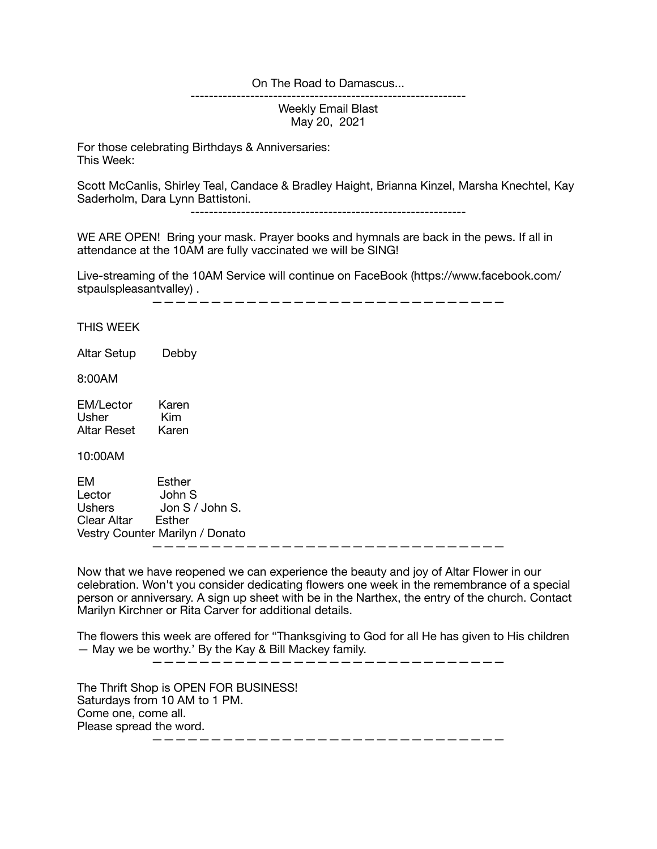## On The Road to Damascus...

------------------------------------------------------------

Weekly Email Blast May 20, 2021

For those celebrating Birthdays & Anniversaries: This Week:

Scott McCanlis, Shirley Teal, Candace & Bradley Haight, Brianna Kinzel, Marsha Knechtel, Kay Saderholm, Dara Lynn Battistoni.

------------------------------------------------------------

WE ARE OPEN! Bring your mask. Prayer books and hymnals are back in the pews. If all in attendance at the 10AM are fully vaccinated we will be SING!

Live-streaming of the 10AM Service will continue on FaceBook (https://www.facebook.com/ stpaulspleasantvalley) .

——————————————————————————————

## THIS WEEK

Altar Setup Debby

8:00AM

| <b>EM/Lector</b> | Karen |
|------------------|-------|
| Usher            | Kim   |
| Altar Reset      | Karen |

10:00AM

EM Esther Lector John S Ushers Jon S / John S. Clear Altar Esther Vestry Counter Marilyn / Donato ——————————————————————————————

Now that we have reopened we can experience the beauty and joy of Altar Flower in our celebration. Won't you consider dedicating flowers one week in the remembrance of a special person or anniversary. A sign up sheet with be in the Narthex, the entry of the church. Contact Marilyn Kirchner or Rita Carver for additional details.

The flowers this week are offered for "Thanksgiving to God for all He has given to His children — May we be worthy.' By the Kay & Bill Mackey family.

——————————————————————————————

The Thrift Shop is OPEN FOR BUSINESS! Saturdays from 10 AM to 1 PM. Come one, come all. Please spread the word. ——————————————————————————————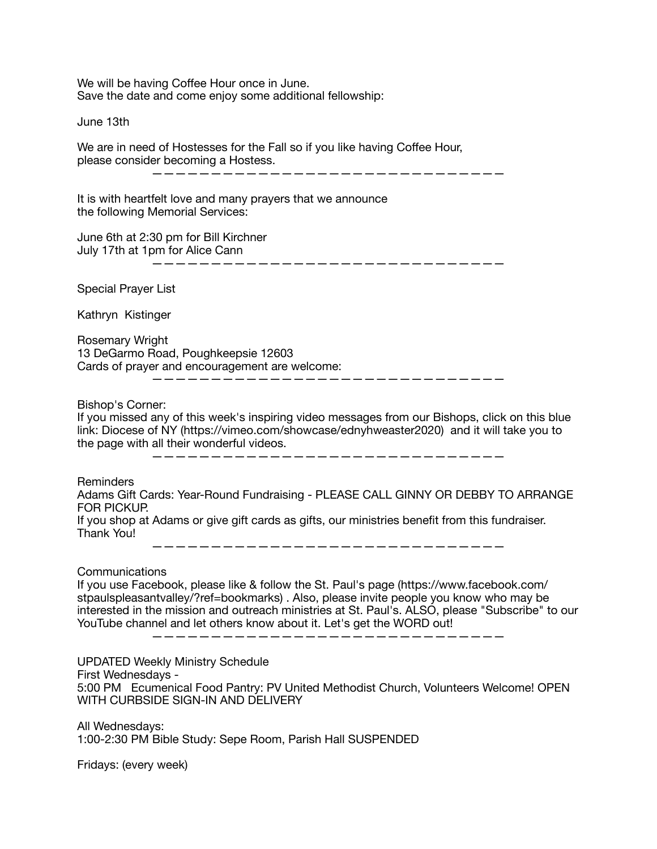We will be having Coffee Hour once in June. Save the date and come enjoy some additional fellowship:

June 13th

We are in need of Hostesses for the Fall so if you like having Coffee Hour, please consider becoming a Hostess. ——————————————————————————————

It is with heartfelt love and many prayers that we announce the following Memorial Services:

June 6th at 2:30 pm for Bill Kirchner July 17th at 1pm for Alice Cann ——————————————————————————————

Special Prayer List

Kathryn Kistinger

Rosemary Wright 13 DeGarmo Road, Poughkeepsie 12603 Cards of prayer and encouragement are welcome: ——————————————————————————————

Bishop's Corner:

If you missed any of this week's inspiring video messages from our Bishops, click on this blue link: Diocese of NY (https://vimeo.com/showcase/ednyhweaster2020) and it will take you to the page with all their wonderful videos.

——————————————————————————————

Reminders

Adams Gift Cards: Year-Round Fundraising - PLEASE CALL GINNY OR DEBBY TO ARRANGE FOR PICKUP.

If you shop at Adams or give gift cards as gifts, our ministries benefit from this fundraiser. Thank You!

——————————————————————————————

Communications

If you use Facebook, please like & follow the St. Paul's page (https://www.facebook.com/ stpaulspleasantvalley/?ref=bookmarks) . Also, please invite people you know who may be interested in the mission and outreach ministries at St. Paul's. ALSO, please "Subscribe" to our YouTube channel and let others know about it. Let's get the WORD out!

——————————————————————————————

UPDATED Weekly Ministry Schedule First Wednesdays - 5:00 PM Ecumenical Food Pantry: PV United Methodist Church, Volunteers Welcome! OPEN WITH CURBSIDE SIGN-IN AND DELIVERY

All Wednesdays: 1:00-2:30 PM Bible Study: Sepe Room, Parish Hall SUSPENDED

Fridays: (every week)